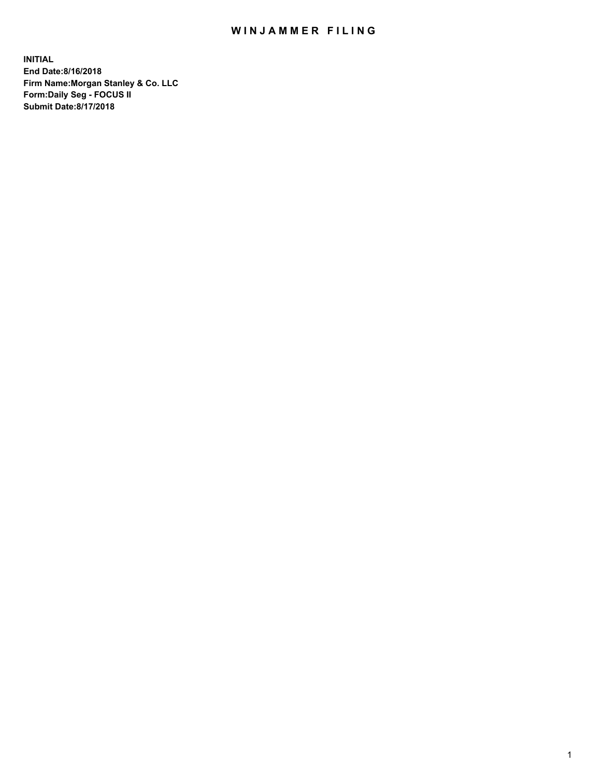## WIN JAMMER FILING

**INITIAL End Date:8/16/2018 Firm Name:Morgan Stanley & Co. LLC Form:Daily Seg - FOCUS II Submit Date:8/17/2018**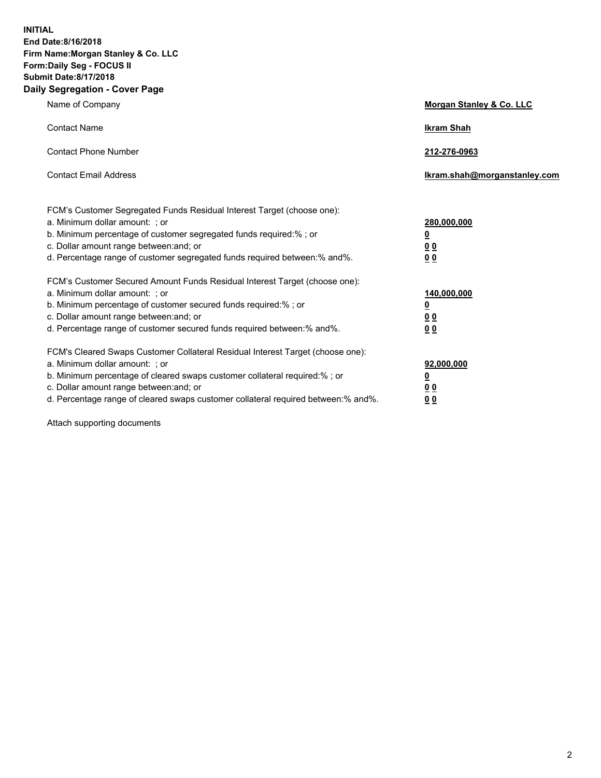**INITIAL End Date:8/16/2018 Firm Name:Morgan Stanley & Co. LLC Form:Daily Seg - FOCUS II Submit Date:8/17/2018 Daily Segregation - Cover Page**

| Name of Company                                                                                                                                                                                                                                                                                                               | Morgan Stanley & Co. LLC                                    |
|-------------------------------------------------------------------------------------------------------------------------------------------------------------------------------------------------------------------------------------------------------------------------------------------------------------------------------|-------------------------------------------------------------|
| <b>Contact Name</b>                                                                                                                                                                                                                                                                                                           | <b>Ikram Shah</b>                                           |
| <b>Contact Phone Number</b>                                                                                                                                                                                                                                                                                                   | 212-276-0963                                                |
| <b>Contact Email Address</b>                                                                                                                                                                                                                                                                                                  | Ikram.shah@morganstanley.com                                |
| FCM's Customer Segregated Funds Residual Interest Target (choose one):<br>a. Minimum dollar amount: ; or<br>b. Minimum percentage of customer segregated funds required:% ; or<br>c. Dollar amount range between: and; or<br>d. Percentage range of customer segregated funds required between:% and%.                        | 280,000,000<br><u>0</u><br><u>00</u><br>0 <sup>0</sup>      |
| FCM's Customer Secured Amount Funds Residual Interest Target (choose one):<br>a. Minimum dollar amount: ; or<br>b. Minimum percentage of customer secured funds required:%; or<br>c. Dollar amount range between: and; or<br>d. Percentage range of customer secured funds required between:% and%.                           | 140,000,000<br><u>0</u><br>0 <sub>0</sub><br>0 <sub>0</sub> |
| FCM's Cleared Swaps Customer Collateral Residual Interest Target (choose one):<br>a. Minimum dollar amount: ; or<br>b. Minimum percentage of cleared swaps customer collateral required:%; or<br>c. Dollar amount range between: and; or<br>d. Percentage range of cleared swaps customer collateral required between:% and%. | 92,000,000<br><u>0</u><br>0 Q<br>00                         |

Attach supporting documents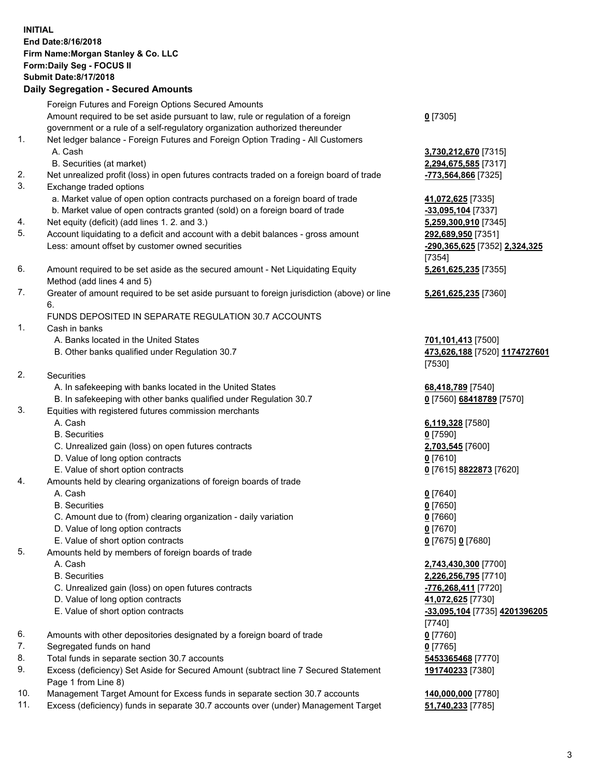## **INITIAL End Date:8/16/2018 Firm Name:Morgan Stanley & Co. LLC Form:Daily Seg - FOCUS II Submit Date:8/17/2018 Daily Segregation - Secured Amounts** Foreign Futures and Foreign Options Secured Amounts Amount required to be set aside pursuant to law, rule or regulation of a foreign government or a rule of a self-regulatory organization authorized thereunder **0** [7305] 1. Net ledger balance - Foreign Futures and Foreign Option Trading - All Customers A. Cash **3,730,212,670** [7315] B. Securities (at market) **2,294,675,585** [7317] 2. Net unrealized profit (loss) in open futures contracts traded on a foreign board of trade **-773,564,866** [7325] 3. Exchange traded options a. Market value of open option contracts purchased on a foreign board of trade **41,072,625** [7335] b. Market value of open contracts granted (sold) on a foreign board of trade **-33,095,104** [7337] 4. Net equity (deficit) (add lines 1. 2. and 3.) **5,259,300,910** [7345] 5. Account liquidating to a deficit and account with a debit balances - gross amount **292,689,950** [7351] Less: amount offset by customer owned securities **-290,365,625** [7352] **2,324,325** [7354] 6. Amount required to be set aside as the secured amount - Net Liquidating Equity Method (add lines 4 and 5) **5,261,625,235** [7355] 7. Greater of amount required to be set aside pursuant to foreign jurisdiction (above) or line 6. **5,261,625,235** [7360] FUNDS DEPOSITED IN SEPARATE REGULATION 30.7 ACCOUNTS 1. Cash in banks A. Banks located in the United States **701,101,413** [7500] B. Other banks qualified under Regulation 30.7 **473,626,188** [7520] **1174727601** [7530] 2. Securities A. In safekeeping with banks located in the United States **68,418,789** [7540] B. In safekeeping with other banks qualified under Regulation 30.7 **0** [7560] **68418789** [7570] 3. Equities with registered futures commission merchants A. Cash **6,119,328** [7580] B. Securities **0** [7590] C. Unrealized gain (loss) on open futures contracts **2,703,545** [7600] D. Value of long option contracts **0** [7610] E. Value of short option contracts **0** [7615] **8822873** [7620] 4. Amounts held by clearing organizations of foreign boards of trade A. Cash **0** [7640] B. Securities **0** [7650] C. Amount due to (from) clearing organization - daily variation **0** [7660] D. Value of long option contracts **0** [7670] E. Value of short option contracts **0** [7675] **0** [7680] 5. Amounts held by members of foreign boards of trade A. Cash **2,743,430,300** [7700] B. Securities **2,226,256,795** [7710] C. Unrealized gain (loss) on open futures contracts **-776,268,411** [7720] D. Value of long option contracts **41,072,625** [7730] E. Value of short option contracts **-33,095,104** [7735] **4201396205** [7740] 6. Amounts with other depositories designated by a foreign board of trade **0** [7760] 7. Segregated funds on hand **0** [7765] 8. Total funds in separate section 30.7 accounts **5453365468** [7770]

- 9. Excess (deficiency) Set Aside for Secured Amount (subtract line 7 Secured Statement Page 1 from Line 8)
- 10. Management Target Amount for Excess funds in separate section 30.7 accounts **140,000,000** [7780]
- 11. Excess (deficiency) funds in separate 30.7 accounts over (under) Management Target **51,740,233** [7785]

3

**191740233** [7380]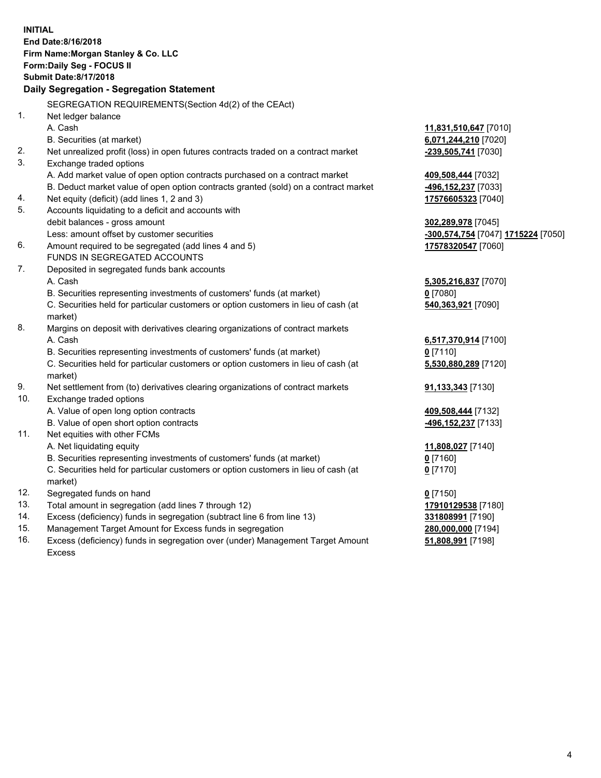| <b>INITIAL</b> | End Date:8/16/2018<br>Firm Name: Morgan Stanley & Co. LLC<br>Form: Daily Seg - FOCUS II<br><b>Submit Date: 8/17/2018</b><br>Daily Segregation - Segregation Statement |                                    |
|----------------|-----------------------------------------------------------------------------------------------------------------------------------------------------------------------|------------------------------------|
|                |                                                                                                                                                                       |                                    |
|                | SEGREGATION REQUIREMENTS(Section 4d(2) of the CEAct)                                                                                                                  |                                    |
| 1.             | Net ledger balance                                                                                                                                                    |                                    |
|                | A. Cash                                                                                                                                                               | 11,831,510,647 [7010]              |
|                | B. Securities (at market)                                                                                                                                             | 6,071,244,210 [7020]               |
| 2.<br>3.       | Net unrealized profit (loss) in open futures contracts traded on a contract market<br>Exchange traded options                                                         | -239,505,741 [7030]                |
|                | A. Add market value of open option contracts purchased on a contract market                                                                                           | 409,508,444 [7032]                 |
|                | B. Deduct market value of open option contracts granted (sold) on a contract market                                                                                   | 496,152,237 [7033]                 |
| 4.             | Net equity (deficit) (add lines 1, 2 and 3)                                                                                                                           | 17576605323 [7040]                 |
| 5.             | Accounts liquidating to a deficit and accounts with                                                                                                                   |                                    |
|                | debit balances - gross amount                                                                                                                                         | 302,289,978 [7045]                 |
|                | Less: amount offset by customer securities                                                                                                                            | -300,574,754 [7047] 1715224 [7050] |
| 6.             | Amount required to be segregated (add lines 4 and 5)                                                                                                                  | 17578320547 [7060]                 |
|                | FUNDS IN SEGREGATED ACCOUNTS                                                                                                                                          |                                    |
| 7.             | Deposited in segregated funds bank accounts                                                                                                                           |                                    |
|                | A. Cash                                                                                                                                                               | 5,305,216,837 [7070]               |
|                | B. Securities representing investments of customers' funds (at market)                                                                                                | 0 [7080]                           |
|                | C. Securities held for particular customers or option customers in lieu of cash (at<br>market)                                                                        | 540,363,921 [7090]                 |
| 8.             | Margins on deposit with derivatives clearing organizations of contract markets                                                                                        |                                    |
|                | A. Cash                                                                                                                                                               | 6,517,370,914 [7100]               |
|                | B. Securities representing investments of customers' funds (at market)                                                                                                | $0$ [7110]                         |
|                | C. Securities held for particular customers or option customers in lieu of cash (at<br>market)                                                                        | 5,530,880,289 [7120]               |
| 9.             | Net settlement from (to) derivatives clearing organizations of contract markets                                                                                       | 91,133,343 [7130]                  |
| 10.            | Exchange traded options                                                                                                                                               |                                    |
|                | A. Value of open long option contracts                                                                                                                                | 409,508,444 [7132]                 |
|                | B. Value of open short option contracts                                                                                                                               | 496,152,237 [7133]                 |
| 11.            | Net equities with other FCMs                                                                                                                                          |                                    |
|                | A. Net liquidating equity                                                                                                                                             | 11,808,027 [7140]                  |
|                | B. Securities representing investments of customers' funds (at market)                                                                                                | $0$ [7160]                         |
|                | C. Securities held for particular customers or option customers in lieu of cash (at                                                                                   | $0$ [7170]                         |
|                | market)                                                                                                                                                               |                                    |
| 12.            | Segregated funds on hand                                                                                                                                              | $0$ [7150]                         |
| 13.            | Total amount in segregation (add lines 7 through 12)                                                                                                                  | 17910129538 [7180]                 |
| 14.            | Excess (deficiency) funds in segregation (subtract line 6 from line 13)                                                                                               | 331808991 [7190]                   |
| 15.            | Management Target Amount for Excess funds in segregation                                                                                                              | 280,000,000 [7194]                 |

16. Excess (deficiency) funds in segregation over (under) Management Target Amount Excess

**51,808,991** [7198]